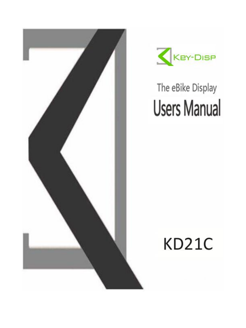



# The eBike Display **Users Manual**

## **KD21C**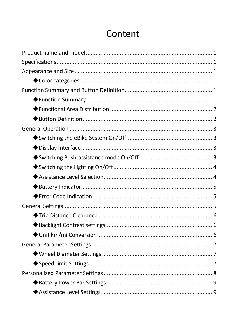## Content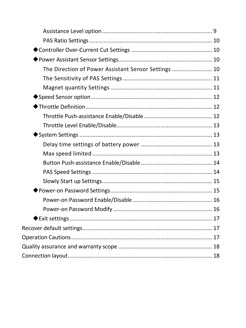| The Direction of Power Assistant Sensor Settings 10 |  |
|-----------------------------------------------------|--|
|                                                     |  |
|                                                     |  |
|                                                     |  |
|                                                     |  |
|                                                     |  |
|                                                     |  |
|                                                     |  |
|                                                     |  |
|                                                     |  |
|                                                     |  |
|                                                     |  |
|                                                     |  |
|                                                     |  |
|                                                     |  |
|                                                     |  |
|                                                     |  |
|                                                     |  |
|                                                     |  |
|                                                     |  |
|                                                     |  |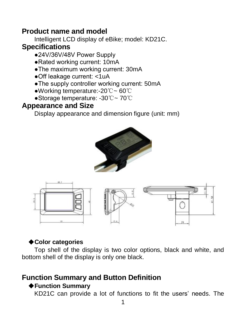## <span id="page-3-0"></span>**Product name and model**

Intelligent LCD display of eBike; model: KD21C.

## <span id="page-3-1"></span>**Specifications**

- ●24V/36V/48V Power Supply
- ●Rated working current: 10mA
- ●The maximum working current: 30mA
- ●Off leakage current: <1uA
- ●The supply controller working current: 50mA
- ●Working temperature:-20℃~ 60℃
- ●Storage temperature: -30℃~ 70℃

## <span id="page-3-2"></span>**Appearance and Size**

Display appearance and dimension figure (unit: mm)





## ◆**Color categories**

<span id="page-3-3"></span>Top shell of the display is two color options, black and white, and bottom shell of the display is only one black.

## <span id="page-3-5"></span><span id="page-3-4"></span>**Function Summary and Button Definition**

## ◆**Function Summary**

KD21C can provide a lot of functions to fit the users' needs. The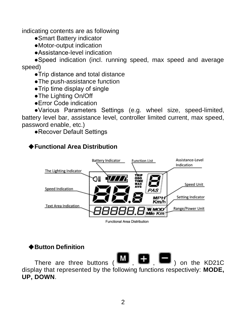indicating contents are as following

- ●Smart Battery indicator
- ●Motor-output indication
- ●Assistance-level indication

●Speed indication (incl. running speed, max speed and average speed)

- ●Trip distance and total distance
- ●The push-assistance function
- ●Trip time display of single
- ●The Lighting On/Off
- ●Error Code indication

●Various Parameters Settings (e.g. wheel size, speed-limited, battery level bar, assistance level, controller limited current, max speed, password enable, etc.)

●Recover Default Settings

## <span id="page-4-0"></span>◆**Functional Area Distribution**



Functional Area Distribution

#### <span id="page-4-1"></span>◆**Button Definition**

There are three buttons  $\begin{pmatrix} \mathbf{M} & \mathbf{H} & \mathbf{I} \end{pmatrix}$  on the KD21C display that represented by the following functions respectively: **MODE, UP, DOWN**.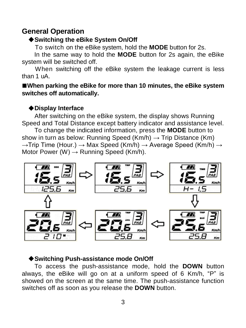## <span id="page-5-1"></span><span id="page-5-0"></span>**General Operation**

#### ◆**Switching the eBike System On/Off**

To switch on the eBike system, hold the **MODE** button for 2s.

In the same way to hold the **MODE** button for 2s again, the eBike system will be switched off.

When switching off the eBike system the leakage current is less than 1 uA.

■ When parking the eBike for more than 10 minutes, the eBike system **switches off automatically.**

#### ◆**Display Interface**

<span id="page-5-2"></span>After switching on the eBike system, the display shows Running Speed and Total Distance except battery indicator and assistance level.

To change the indicated information, press the **MODE** button to show in turn as below: Running Speed (Km/h)  $\rightarrow$  Trip Distance (Km)  $\rightarrow$ Trip Time (Hour.)  $\rightarrow$  Max Speed (Km/h)  $\rightarrow$  Average Speed (Km/h)  $\rightarrow$ Motor Power  $(W) \rightarrow$  Running Speed (Km/h).



#### <span id="page-5-3"></span>◆**Switching Push-assistance mode On/Off**

To access the push-assistance mode, hold the **DOWN** button always, the eBike will go on at a uniform speed of 6 Km/h, "P" is showed on the screen at the same time. The push-assistance function switches off as soon as you release the **DOWN** button.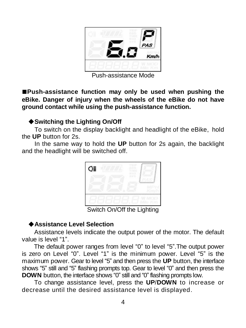

Push-assistance Mode

**■Push-assistance function may only be used when pushing the eBike. Danger of injury when the wheels of the eBike do not have ground contact while using the push-assistance function.**

#### ◆**Switching the Lighting On/Off**

<span id="page-6-0"></span>To switch on the display backlight and headlight of the eBike, hold the **UP** button for 2s.

In the same way to hold the **UP** button for 2s again, the backlight and the headlight will be switched off.



Switch On/Off the Lighting

#### ◆**Assistance Level Selection**

<span id="page-6-1"></span>Assistance levels indicate the output power of the motor. The default value is level "1".

The default power ranges from level "0" to level "5". The output power is zero on Level "0". Level "1" is the minimum power. Level "5" is the maximum power. Gear to level "5" and then press the **UP** button, the interface shows "5" still and "5" flashing prompts top. Gear to level "0" and then press the **DOWN** button, the interface shows "0" still and "0" flashing prompts low.

To change assistance level, press the **UP**/**DOWN** to increase or decrease until the desired assistance level is displayed.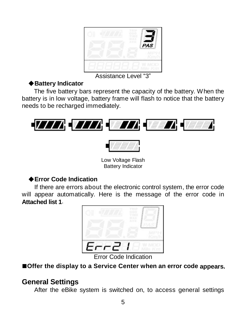|  | AVE<br>PAS |
|--|------------|
|  |            |
|  |            |
|  |            |

Assistance Level "3"

### ◆**Battery Indicator**

<span id="page-7-0"></span>The five battery bars represent the capacity of the battery. When the battery is in low voltage, battery frame will flash to notice that the battery needs to be recharged immediately.





Low Voltage Flash Battery Indicator

## ◆**Error Code Indication**

<span id="page-7-1"></span>If there are errors about the electronic control system, the error code will appear automatically. Here is the message of the error code in **Attached list 1**.



Code Indication

#### **■Offer the display to a Service Center when an error code appears.**

## <span id="page-7-2"></span>**General Settings**

After the eBike system is switched on, to access general settings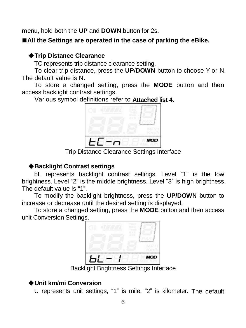menu, hold both the **UP** and **DOWN** button for 2s.

#### **■All the Settings are operated in the case of parking the eBike.**

#### <span id="page-8-0"></span>◆**Trip Distance Clearance**

TC represents trip distance clearance setting.

To clear trip distance, press the **UP**/**DOWN** button to choose Y or N. The default value is N.

To store a changed setting, press the **MODE** button and then access backlight contrast settings.

Various symbol definitions refer to **Attached list 4.**



Trip Distance Clearance Settings Interface

#### ◆**Backlight Contrast settings**

<span id="page-8-1"></span>bL represents backlight contrast settings. Level "1" is the low brightness. Level "2" is the middle brightness. Level "3" is high brightness. The default value is "1".

To modify the backlight brightness, press the **UP/DOWN** button to increase or decrease until the desired setting is displayed.

To store a changed setting, press the **MODE** button and then access unit Conversion Settings.



Backlight Brightness Settings Interface

## <span id="page-8-2"></span>◆**Unit km/mi Conversion**

U represents unit settings, "1" is mile, "2" is kilometer. The default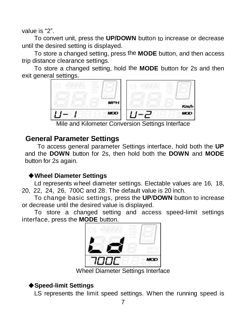value is "2".

To convert unit, press the **UP/DOWN** button to increase or decrease until the desired setting is displayed.

To store a changed setting, press the **MODE** button, and then access trip distance clearance settings.

To store a changed setting, hold the **MODE** button for 2s and then exit general settings.



## <span id="page-9-0"></span>**General Parameter Settings**

To access general parameter Settings interface, hold both the **UP** and the **DOWN** button for 2s, then hold both the **DOWN** and **MODE** button for 2s again.

#### ◆**Wheel Diameter Settings**

<span id="page-9-1"></span>Ld represents wheel diameter settings. Electable values are 16, 18, 20, 22, 24, 26, 700C and 28. The default value is 20 inch.

To change basic settings, press the **UP**/**DOWN** button to increase or decrease until the desired value is displayed.

To store a changed setting and access speed-limit settings interface, press the **MODE** button.



Wheel Diameter Settings Interface

## <span id="page-9-2"></span>◆**Speed-limit Settings**

LS represents the limit speed settings. When the running speed is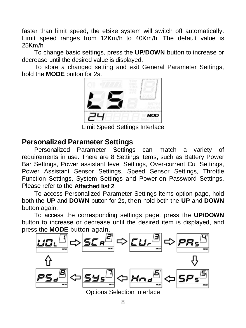faster than limit speed, the eBike system will switch off automatically. Limit speed ranges from 12Km/h to 40Km/h. The default value is 25Km/h.

To change basic settings, press the **UP**/**DOWN** button to increase or decrease until the desired value is displayed.

To store a changed setting and exit General Parameter Settings, hold the **MODE** button for 2s.



Limit Speed Settings Interface

#### <span id="page-10-0"></span>**Personalized Parameter Settings**

Personalized Parameter Settings can match a variety of requirements in use. There are 8 Settings items, such as Battery Power Bar Settings, Power assistant level Settings, Over-current Cut Settings, Power Assistant Sensor Settings, Speed Sensor Settings, Throttle Function Settings, System Settings and Power-on Password Settings. Please refer to the **Attached list 2**.

To access Personalized Parameter Settings items option page, hold both the **UP** and **DOWN** button for 2s, then hold both the **UP** and **DOWN**  button again.

To access the corresponding settings page, press the **UP/DOWN**  button to increase or decrease until the desired item is displayed, and press the **MODE** button again.

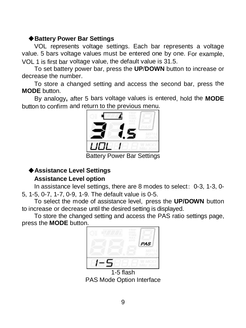#### ◆**Battery Power Bar Settings**

<span id="page-11-0"></span>VOL represents voltage settings. Each bar represents a voltage value. 5 bars voltage values must be entered one by one. For example, VOL 1 is first bar voltage value, the default value is 31.5.

To set battery power bar, press the **UP**/**DOWN** button to increase or decrease the number.

To store a changed setting and access the second bar, press the **MODE** button.

By analogy**,** after 5 bars voltage values is entered, hold the **MODE** button to confirm and return to the previous menu.



Battery Power Bar Settings

#### <span id="page-11-1"></span>◆**Assistance Level Settings**

#### **Assistance Level option**

<span id="page-11-2"></span>In assistance level settings, there are 8 modes to select: 0-3, 1-3, 0- 5, 1-5, 0-7, 1-7, 0-9, 1-9. The default value is 0-5.

To select the mode of assistance level, press the **UP/DOWN** button to increase or decrease until the desired setting is displayed.

To store the changed setting and access the PAS ratio settings page, press the **MODE** button.



1-5 flash PAS Mode Option Interface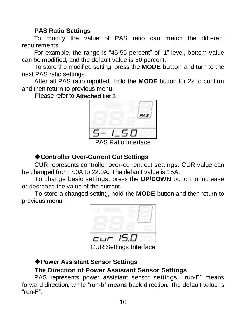#### **PAS Ratio Settings**

<span id="page-12-0"></span>To modify the value of PAS ratio can match the different requirements.

For example, the range is "45-55 percent" of "1" level, bottom value can be modified, and the default value is 50 percent.

To store the modified setting, press the **MODE** button and turn to the next PAS ratio settings.

After all PAS ratio inputted, hold the **MODE** button for 2s to confirm and then return to previous menu.

Please refer to **Attached list 3**.



PAS Ratio Interface

#### ◆**Controller Over-Current Cut Settings**

<span id="page-12-1"></span>CUR represents controller over-current cut settings. CUR value can be changed from 7.0A to 22.0A. The default value is 15A.

To change basic settings, press the **UP/DOWN** button to increase or decrease the value of the current.

To store a changed setting, hold the **MODE** button and then return to previous menu.



CUR Settings Interface

#### <span id="page-12-2"></span>◆**Power Assistant Sensor Settings**

#### **The Direction of Power Assistant Sensor Settings**

<span id="page-12-3"></span>PAS represents power assistant sensor settings. "run-F" means forward direction, while "run-b" means back direction. The default value is "run-F".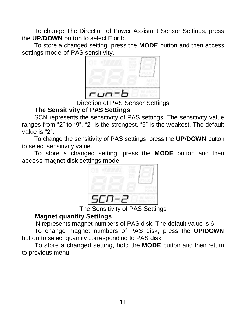To change The Direction of Power Assistant Sensor Settings, press the **UP**/**DOWN** button to select F or b.

To store a changed setting, press the **MODE** button and then access settings mode of PAS sensitivity.



Direction of PAS Sensor Settings

#### **The Sensitivity of PAS Settings**

<span id="page-13-0"></span>SCN represents the sensitivity of PAS settings. The sensitivity value ranges from "2" to "9". "2" is the strongest, "9" is the weakest. The default value is "2".

To change the sensitivity of PAS settings, press the **UP**/**DOWN** button to select sensitivity value.

To store a changed setting, press the **MODE** button and then access magnet disk settings mode.



The Sensitivity of PAS Settings

#### **Magnet quantity Settings**

N represents magnet numbers of PAS disk. The default value is 6.

<span id="page-13-1"></span>To change magnet numbers of PAS disk, press the **UP/DOWN**  button to select quantity corresponding to PAS disk.

To store a changed setting, hold the **MODE** button and then return to previous menu.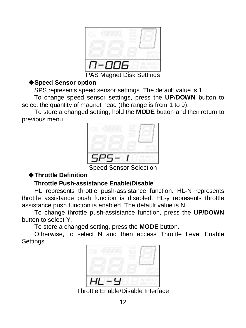| ٠<br><br>-<br>×<br>×<br>۹ |  |
|---------------------------|--|
| ь<br>-1                   |  |

PAS Magnet Disk Settings

#### <span id="page-14-0"></span>◆**Speed Sensor option**

SPS represents speed sensor settings. The default value is 1

To change speed sensor settings, press the **UP**/**DOWN** button to select the quantity of magnet head (the range is from 1 to 9).

To store a changed setting, hold the **MODE** button and then return to previous menu.



Speed Sensor Selection

## <span id="page-14-1"></span>◆**Throttle Definition**

#### **Throttle Push-assistance Enable/Disable**

<span id="page-14-2"></span>HL represents throttle push-assistance function. HL-N represents throttle assistance push function is disabled. HL-y represents throttle assistance push function is enabled. The default value is N.

To change throttle push-assistance function, press the **UP/DOWN** button to select Y.

To store a changed setting, press the **MODE** button.

Otherwise, to select N and then access Throttle Level Enable Settings.



Throttle Enable/Disable Interface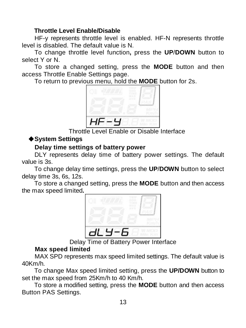#### **Throttle Level Enable/Disable**

<span id="page-15-0"></span>HF-y represents throttle level is enabled. HF-N represents throttle level is disabled. The default value is N.

To change throttle level function**,** press the **UP**/**DOWN** button to select Y or N.

To store a changed setting, press the **MODE** button and then access Throttle Enable Settings page.

To return to previous menu, hold the **MODE** button for 2s.



Throttle Level Enable or Disable Interface

#### <span id="page-15-1"></span>◆**System Settings**

#### **Delay time settings of battery power**

<span id="page-15-2"></span>DLY represents delay time of battery power settings. The default value is 3s.

To change delay time settings, press the **UP**/**DOWN** button to select delay time 3s, 6s, 12s.

To store a changed setting, press the **MODE** button and then access the max speed limited**.**



Delay Time of Battery Power Interface

#### **Max speed limited**

<span id="page-15-3"></span>MAX SPD represents max speed limited settings. The default value is 40Km/h.

To change Max speed limited setting, press the **UP/DOWN** button to set the max speed from 25Km/h to 40 Km/h.

To store a modified setting, press the **MODE** button and then access Button PAS Settings.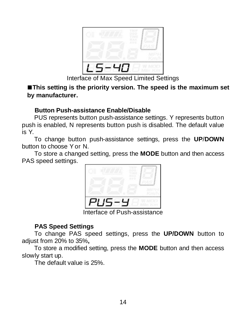

Interface of Max Speed Limited Settings

**■This setting is the priority version. The speed is the maximum set by manufacturer.** 

#### **Button Push-assistance Enable/Disable**

<span id="page-16-0"></span>PUS represents button push-assistance settings. Y represents button push is enabled, N represents button push is disabled. The default value is Y.

To change button push-assistance settings, press the **UP**/**DOWN**  button to choose Yor N.

To store a changed setting, press the **MODE** button and then access PAS speed settings.



Interface of Push-assistance

#### **PAS Speed Settings**

<span id="page-16-1"></span>To change PAS speed settings, press the **UP/DOWN** button to adjust from 20% to 35%**,**

To store a modified setting, press the **MODE** button and then access slowly start up.

The default value is 25%.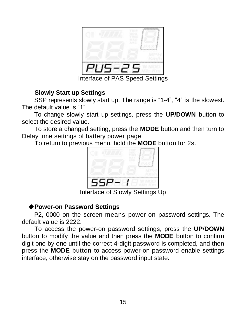

Interface of PAS Speed Settings

#### **Slowly Start up Settings**

<span id="page-17-0"></span>SSP represents slowly start up. The range is "1-4", "4" is the slowest. The default value is "1".

To change slowly start up settings, press the **UP/DOWN** button to select the desired value.

To store a changed setting, press the **MODE** button and then turn to Delay time settings of battery power page.

To return to previous menu, hold the **MODE** button for 2s.



Interface of Slowly Settings Up

#### ◆**Power-on Password Settings**

<span id="page-17-1"></span>P2, 0000 on the screen means power-on password settings. The default value is 2222.

To access the power-on password settings, press the **UP**/**DOWN**  button to modify the value and then press the **MODE** button to confirm digit one by one until the correct 4-digit password is completed, and then press the **MODE** button to access power-on password enable settings interface, otherwise stay on the password input state.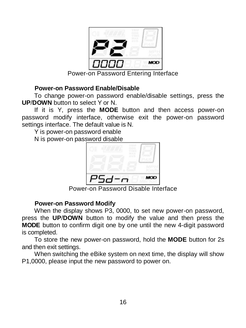

Power-on Password Entering Interface

#### **Power-on Password Enable/Disable**

<span id="page-18-0"></span>To change power-on password enable/disable settings, press the **UP**/**DOWN** button to select Y or N.

If it is Y, press the **MODE** button and then access power-on password modify interface, otherwise exit the power-on password settings interface. The default value is N.

Y is nower-on password enable

N is power-on password disable



Power-on Password Disable Interface

#### **Power-on Password Modify**

<span id="page-18-1"></span>When the display shows P3, 0000, to set new power-on password, press the **UP**/**DOWN** button to modify the value and then press the **MODE** button to confirm digit one by one until the new 4-digit password is completed.

To store the new power-on password, hold the **MODE** button for 2s and then exit settings.

When switching the eBike system on next time, the display will show P1,0000, please input the new password to power on.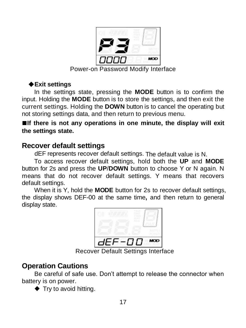

Power-on Password Modify Interface

### ◆**Exit settings**

<span id="page-19-0"></span>In the settings state, pressing the **MODE** button is to confirm the input. Holding the **MODE** button is to store the settings, and then exit the current settings. Holding the **DOWN** button is to cancel the operating but not storing settings data, and then return to previous menu.

**■If there is not any operations in one minute, the display will exit the settings state.**

## <span id="page-19-1"></span>**Recover default settings**

dEF represents recover default settings. The default value is N.

To access recover default settings, hold both the **UP** and **MODE** button for 2s and press the **UP**/**DOWN** button to choose Y or N again. N means that do not recover default settings. Y means that recovers default settings.

When it is Y, hold the **MODE** button for 2s to recover default settings, the display shows DEF-00 at the same time**,** and then return to general display state.



Recover Default Settings Interface

## <span id="page-19-2"></span>**Operation Cautions**

Be careful of safe use. Don't attempt to release the connector when battery is on power.

◆ Try to avoid hitting.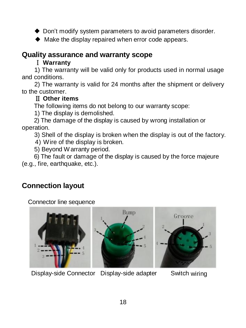◆ Don't modify system parameters to avoid parameters disorder

◆ Make the display repaired when error code appears.

## <span id="page-20-0"></span>**Quality assurance and warranty scope**

#### Ⅰ **Warranty**

1) The warranty will be valid only for products used in normal usage and conditions.

2) The warranty is valid for 24 months after the shipment or delivery to the customer.

### Ⅱ **Other items**

The following items do not belong to our warranty scope:

1) The display is demolished.

2) The damage of the display is caused by wrong installation or operation.

3) Shell of the display is broken when the display is out of the factory.

4) Wire of the display is broken.

5) Beyond Warranty period.

6) The fault or damage of the display is caused by the force majeure (e.g., fire, earthquake, etc.).

## <span id="page-20-1"></span>**Connection layout**

Connector line sequence



Display-side Connector Display-side adapter Switch wiring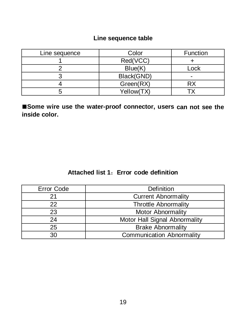#### **Line sequence table**

| Line sequence | Color      | Function |
|---------------|------------|----------|
|               | Red(VCC)   |          |
|               | Blue(K)    | Lock     |
|               | Black(GND) |          |
|               | Green(RX)  | RX       |
|               | Yellow(TX) |          |

**■Some wire use the water-proof connector, users can not see the inside color.**

#### **Attached list 1**:**Error code definition**

| Error Code | Definition                       |  |
|------------|----------------------------------|--|
|            | <b>Current Abnormality</b>       |  |
| 22         | <b>Throttle Abnormality</b>      |  |
| 23         | <b>Motor Abnormality</b>         |  |
| 24         | Motor Hall Signal Abnormality    |  |
| 25         | <b>Brake Abnormality</b>         |  |
| 30         | <b>Communication Abnormality</b> |  |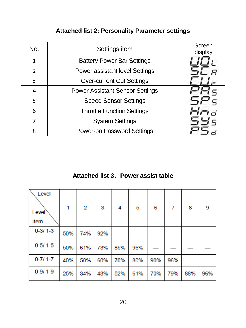| No.                      | Settings item                          | Screen<br>display |
|--------------------------|----------------------------------------|-------------------|
|                          | <b>Battery Power Bar Settings</b>      |                   |
| $\overline{\phantom{a}}$ | Power assistant level Settings         |                   |
| ς                        | <b>Over-current Cut Settings</b>       |                   |
|                          | <b>Power Assistant Sensor Settings</b> |                   |
| 5                        | <b>Speed Sensor Settings</b>           |                   |
| 6                        | <b>Throttle Function Settings</b>      |                   |
|                          | <b>System Settings</b>                 |                   |
| $\mathsf{R}$             | Power-on Password Settings             |                   |

## **Attached list 2: Personality Parameter settings**

## **Attached list 3**:**Power assist table**

| Level<br>Level<br><b>Item</b> | 1   | $\overline{2}$ | 3   | 4   | 5   | 6   | 7   | 8   | 9   |
|-------------------------------|-----|----------------|-----|-----|-----|-----|-----|-----|-----|
| $0 - 3/1 - 3$                 | 50% | 74%            | 92% |     |     |     |     |     |     |
| $0-5/1-5$                     | 50% | 61%            | 73% | 85% | 96% |     |     |     |     |
| $0 - 711 - 7$                 | 40% | 50%            | 60% | 70% | 80% | 90% | 96% |     |     |
| $0 - 9/1 - 9$                 | 25% | 34%            | 43% | 52% | 61% | 70% | 79% | 88% | 96% |